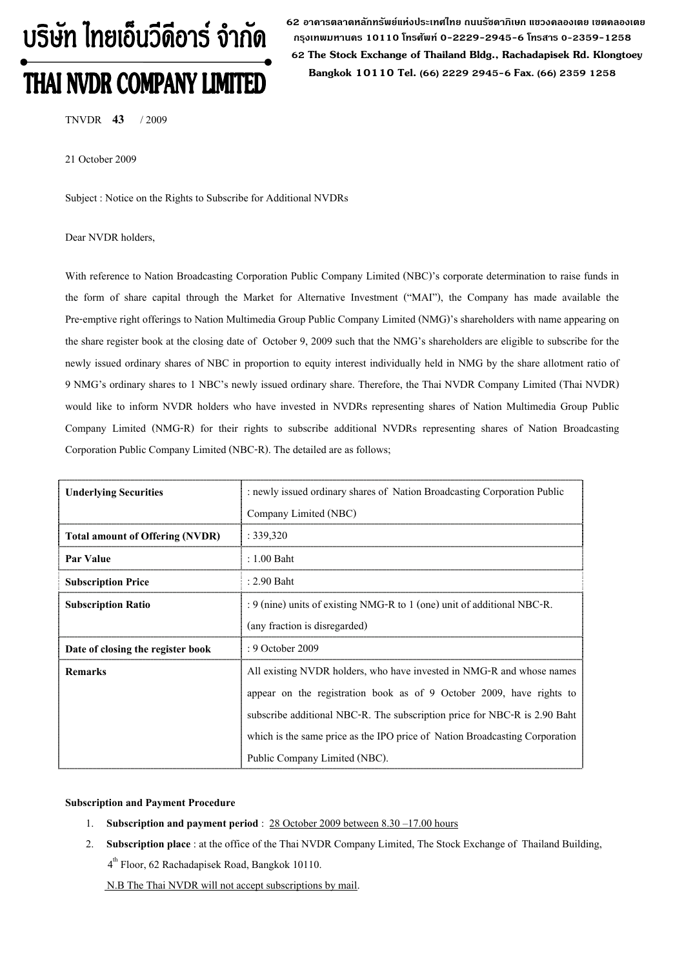# บริษัท ไทยเอ็นวีดีอาร์ จำกัด **THAI NVDR COMPANY LIMITED**

 **62 อาคารตลาดหลักทรัพยแหงประเทศไทย ถนนรัชดาภิเษก แขวงคลองเตย เขตคลองเตย กรุงเทพมหานคร 10110 โทรศัพท 0-2229-2945-6 โทรสาร 0-2359-1258 62 The Stock Exchange of Thailand Bldg., Rachadapisek Rd. Klongtoey Bangkok 10110 Tel. (66) 2229 2945-6 Fax. (66) 2359 1258**

TNVDR **43** / 2009

21 October 2009

Subject : Notice on the Rights to Subscribe for Additional NVDRs

## Dear NVDR holders,

With reference to Nation Broadcasting Corporation Public Company Limited (NBC)'s corporate determination to raise funds in the form of share capital through the Market for Alternative Investment ("MAI"), the Company has made available the Pre-emptive right offerings to Nation Multimedia Group Public Company Limited (NMG)'s shareholders with name appearing on the share register book at the closing date of October 9, 2009 such that the NMG's shareholders are eligible to subscribe for the newly issued ordinary shares of NBC in proportion to equity interest individually held in NMG by the share allotment ratio of 9 NMG's ordinary shares to 1 NBC's newly issued ordinary share. Therefore, the Thai NVDR Company Limited (Thai NVDR) would like to inform NVDR holders who have invested in NVDRs representing shares of Nation Multimedia Group Public Company Limited (NMG-R) for their rights to subscribe additional NVDRs representing shares of Nation Broadcasting Corporation Public Company Limited (NBC-R). The detailed are as follows;

| <b>Underlying Securities</b>           | : newly issued ordinary shares of Nation Broadcasting Corporation Public    |  |  |
|----------------------------------------|-----------------------------------------------------------------------------|--|--|
|                                        | Company Limited (NBC)                                                       |  |  |
| <b>Total amount of Offering (NVDR)</b> | : 339,320                                                                   |  |  |
| Par Value                              | : 1.00 Baht                                                                 |  |  |
| <b>Subscription Price</b>              | $: 2.90$ Baht                                                               |  |  |
| <b>Subscription Ratio</b>              | : 9 (nine) units of existing NMG-R to 1 (one) unit of additional NBC-R.     |  |  |
|                                        | (any fraction is disregarded)                                               |  |  |
| Date of closing the register book      | : 9 October 2009                                                            |  |  |
| <b>Remarks</b>                         | All existing NVDR holders, who have invested in NMG-R and whose names       |  |  |
|                                        | appear on the registration book as of 9 October 2009, have rights to        |  |  |
|                                        | subscribe additional NBC-R. The subscription price for NBC-R is 2.90 Baht   |  |  |
|                                        | which is the same price as the IPO price of Nation Broadcasting Corporation |  |  |
|                                        | Public Company Limited (NBC).                                               |  |  |

## **Subscription and Payment Procedure**

- 1. **Subscription and payment period** : 28 October 2009 between 8.30 –17.00 hours
- 2. **Subscription place** : at the office of the Thai NVDR Company Limited, The Stock Exchange of Thailand Building, 4th Floor, 62 Rachadapisek Road, Bangkok 10110.

N.B The Thai NVDR will not accept subscriptions by mail.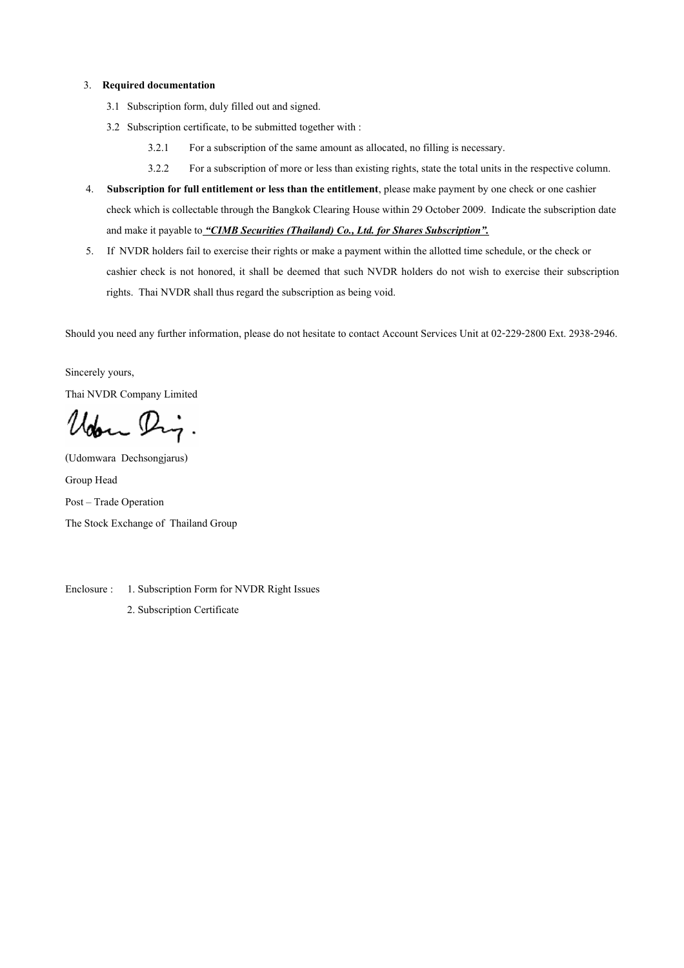## 3. **Required documentation**

- 3.1 Subscription form, duly filled out and signed.
- 3.2 Subscription certificate, to be submitted together with :
	- 3.2.1 For a subscription of the same amount as allocated, no filling is necessary.
	- 3.2.2 For a subscription of more or less than existing rights, state the total units in the respective column.
- 4. **Subscription for full entitlement or less than the entitlement**, please make payment by one check or one cashier check which is collectable through the Bangkok Clearing House within 29 October 2009. Indicate the subscription date and make it payable to *"CIMB Securities (Thailand) Co., Ltd. for Shares Subscription".*
- 5. If NVDR holders fail to exercise their rights or make a payment within the allotted time schedule, or the check or cashier check is not honored, it shall be deemed that such NVDR holders do not wish to exercise their subscription rights. Thai NVDR shall thus regard the subscription as being void.

Should you need any further information, please do not hesitate to contact Account Services Unit at 02-229-2800 Ext. 2938-2946.

Sincerely yours,

Thai NVDR Company Limited

Udon Dig.

(Udomwara Dechsongjarus) Group Head Post – Trade Operation The Stock Exchange of Thailand Group

Enclosure : 1. Subscription Form for NVDR Right Issues

2. Subscription Certificate